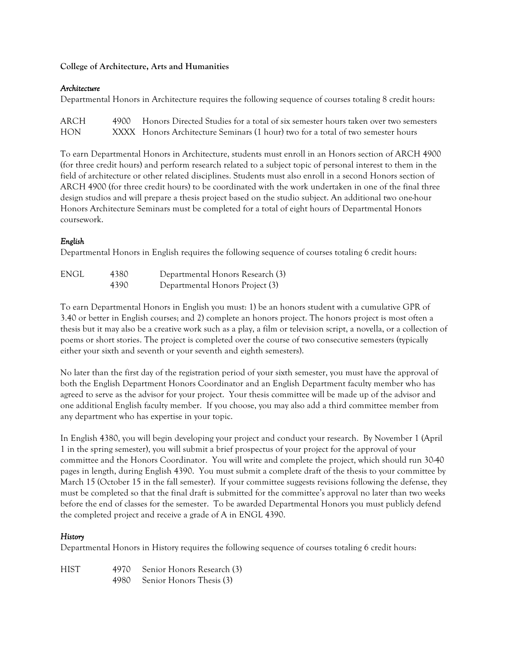## **College of Architecture, Arts and Humanities**

## *Architecture*

Departmental Honors in Architecture requires the following sequence of courses totaling 8 credit hours:

| ARCH       | 4900 Honors Directed Studies for a total of six semester hours taken over two semesters |
|------------|-----------------------------------------------------------------------------------------|
| <b>HON</b> | XXXX Honors Architecture Seminars (1 hour) two for a total of two semester hours        |

To earn Departmental Honors in Architecture, students must enroll in an Honors section of ARCH 4900 (for three credit hours) and perform research related to a subject topic of personal interest to them in the field of architecture or other related disciplines. Students must also enroll in a second Honors section of ARCH 4900 (for three credit hours) to be coordinated with the work undertaken in one of the final three design studios and will prepare a thesis project based on the studio subject. An additional two one-hour Honors Architecture Seminars must be completed for a total of eight hours of Departmental Honors coursework.

# *English*

Departmental Honors in English requires the following sequence of courses totaling 6 credit hours:

| ENGL | 4380 | Departmental Honors Research (3) |
|------|------|----------------------------------|
|      | 4390 | Departmental Honors Project (3)  |

To earn Departmental Honors in English you must: 1) be an honors student with a cumulative GPR of 3.40 or better in English courses; and 2) complete an honors project. The honors project is most often a thesis but it may also be a creative work such as a play, a film or television script, a novella, or a collection of poems or short stories. The project is completed over the course of two consecutive semesters (typically either your sixth and seventh or your seventh and eighth semesters).

No later than the first day of the registration period of your sixth semester, you must have the approval of both the English Department Honors Coordinator and an English Department faculty member who has agreed to serve as the advisor for your project. Your thesis committee will be made up of the advisor and one additional English faculty member. If you choose, you may also add a third committee member from any department who has expertise in your topic.

In English 4380, you will begin developing your project and conduct your research. By November 1 (April 1 in the spring semester), you will submit a brief prospectus of your project for the approval of your committee and the Honors Coordinator. You will write and complete the project, which should run 30-40 pages in length, during English 4390. You must submit a complete draft of the thesis to your committee by March 15 (October 15 in the fall semester). If your committee suggests revisions following the defense, they must be completed so that the final draft is submitted for the committee's approval no later than two weeks before the end of classes for the semester. To be awarded Departmental Honors you must publicly defend the completed project and receive a grade of A in ENGL 4390.

# *History*

Departmental Honors in History requires the following sequence of courses totaling 6 credit hours:

HIST 4970 Senior Honors Research (3) 4980 Senior Honors Thesis (3)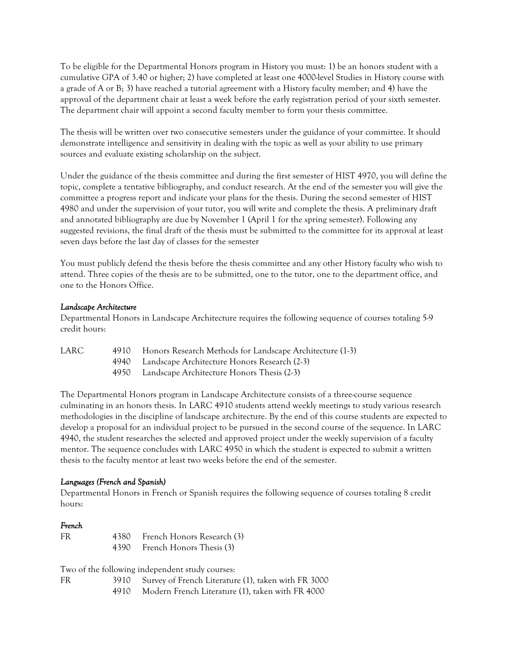To be eligible for the Departmental Honors program in History you must: 1) be an honors student with a cumulative GPA of 3.40 or higher; 2) have completed at least one 4000-level Studies in History course with a grade of A or B; 3) have reached a tutorial agreement with a History faculty member; and 4) have the approval of the department chair at least a week before the early registration period of your sixth semester. The department chair will appoint a second faculty member to form your thesis committee.

The thesis will be written over two consecutive semesters under the guidance of your committee. It should demonstrate intelligence and sensitivity in dealing with the topic as well as your ability to use primary sources and evaluate existing scholarship on the subject.

Under the guidance of the thesis committee and during the first semester of HIST 4970, you will define the topic, complete a tentative bibliography, and conduct research. At the end of the semester you will give the committee a progress report and indicate your plans for the thesis. During the second semester of HIST 4980 and under the supervision of your tutor, you will write and complete the thesis. A preliminary draft and annotated bibliography are due by November 1 (April 1 for the spring semester). Following any suggested revisions, the final draft of the thesis must be submitted to the committee for its approval at least seven days before the last day of classes for the semester

You must publicly defend the thesis before the thesis committee and any other History faculty who wish to attend. Three copies of the thesis are to be submitted, one to the tutor, one to the department office, and one to the Honors Office.

### *Landscape Architecture*

Departmental Honors in Landscape Architecture requires the following sequence of courses totaling 5-9 credit hours:

| LARC | 4910 Honors Research Methods for Landscape Architecture (1-3) |
|------|---------------------------------------------------------------|
|      | 4940 Landscape Architecture Honors Research (2-3)             |
|      | 4950 Landscape Architecture Honors Thesis (2-3)               |

The Departmental Honors program in Landscape Architecture consists of a three-course sequence culminating in an honors thesis. In LARC 4910 students attend weekly meetings to study various research methodologies in the discipline of landscape architecture. By the end of this course students are expected to develop a proposal for an individual project to be pursued in the second course of the sequence. In LARC 4940, the student researches the selected and approved project under the weekly supervision of a faculty mentor. The sequence concludes with LARC 4950 in which the student is expected to submit a written thesis to the faculty mentor at least two weeks before the end of the semester.

#### *Languages (French and Spanish)*

Departmental Honors in French or Spanish requires the following sequence of courses totaling 8 credit hours:

#### *French*

| FR | 4380 French Honors Research (3) |
|----|---------------------------------|
|    | 4390 French Honors Thesis (3)   |

Two of the following independent study courses:

FR 3910 Survey of French Literature (1), taken with FR 3000 4910 Modern French Literature (1), taken with FR 4000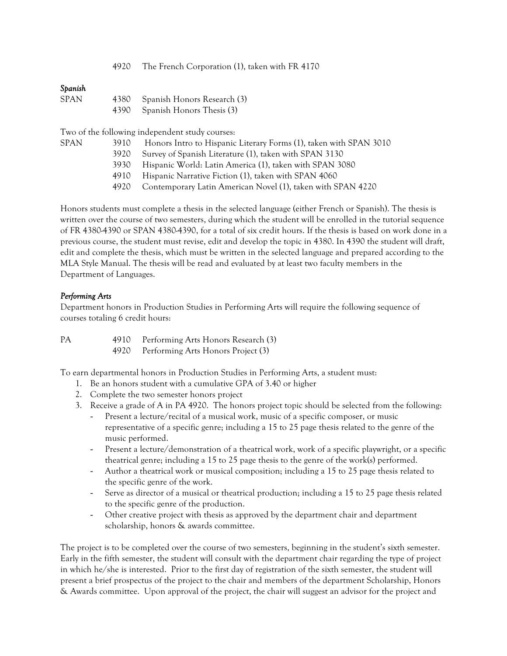|  | 4920 The French Corporation (1), taken with FR 4170 |  |  |
|--|-----------------------------------------------------|--|--|
|  |                                                     |  |  |

## *Spanish*

| <b>SPAN</b> | 4380 Spanish Honors Research (3) |
|-------------|----------------------------------|
|             | 4390 Spanish Honors Thesis (3)   |

Two of the following independent study courses:

- SPAN 3910 Honors Intro to Hispanic Literary Forms (1), taken with SPAN 3010
	- 3920 Survey of Spanish Literature (1), taken with SPAN 3130
	- 3930 Hispanic World: Latin America (1), taken with SPAN 3080
	- 4910 Hispanic Narrative Fiction (1), taken with SPAN 4060
	- 4920 Contemporary Latin American Novel (1), taken with SPAN 4220

Honors students must complete a thesis in the selected language (either French or Spanish). The thesis is written over the course of two semesters, during which the student will be enrolled in the tutorial sequence of FR 4380-4390 or SPAN 4380-4390, for a total of six credit hours. If the thesis is based on work done in a previous course, the student must revise, edit and develop the topic in 4380. In 4390 the student will draft, edit and complete the thesis, which must be written in the selected language and prepared according to the MLA Style Manual. The thesis will be read and evaluated by at least two faculty members in the Department of Languages.

## *Performing Arts*

Department honors in Production Studies in Performing Arts will require the following sequence of courses totaling 6 credit hours:

| РA | 4910 | Performing Arts Honors Research (3)     |
|----|------|-----------------------------------------|
|    |      | 4920 Performing Arts Honors Project (3) |

To earn departmental honors in Production Studies in Performing Arts, a student must:

- 1. Be an honors student with a cumulative GPA of 3.40 or higher
- 2. Complete the two semester honors project
- 3. Receive a grade of A in PA 4920. The honors project topic should be selected from the following:
	- Present a lecture/recital of a musical work, music of a specific composer, or music representative of a specific genre; including a 15 to 25 page thesis related to the genre of the music performed.
	- Present a lecture/demonstration of a theatrical work, work of a specific playwright, or a specific theatrical genre; including a 15 to 25 page thesis to the genre of the work(s) performed.
	- Author a theatrical work or musical composition; including a 15 to 25 page thesis related to the specific genre of the work.
	- Serve as director of a musical or theatrical production; including a 15 to 25 page thesis related to the specific genre of the production.
	- Other creative project with thesis as approved by the department chair and department scholarship, honors & awards committee.

The project is to be completed over the course of two semesters, beginning in the student's sixth semester. Early in the fifth semester, the student will consult with the department chair regarding the type of project in which he/she is interested. Prior to the first day of registration of the sixth semester, the student will present a brief prospectus of the project to the chair and members of the department Scholarship, Honors & Awards committee. Upon approval of the project, the chair will suggest an advisor for the project and